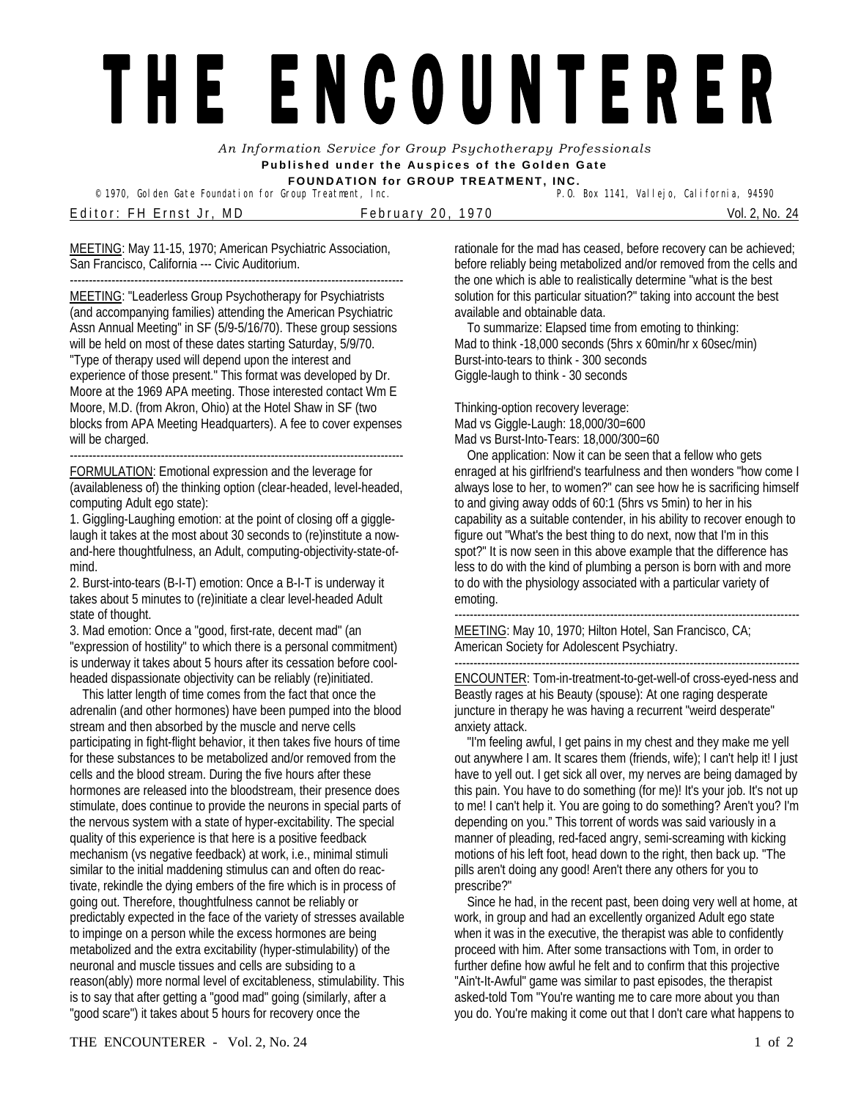## THE ENCOUNTERER

*An Information Service for Group Psychotherapy Professionals*  **Published under the Auspices of the Golden Gate FOUNDATION for GROUP TREATMENT, INC.** 

<sup>©</sup> 1970, Golden Gate Foundation for Group Treatment, Inc.

Editor: FH Ernst Jr, MD February 20, 1970 Vol. 2, No. 24

MEETING: May 11-15, 1970; American Psychiatric Association, San Francisco, California --- Civic Auditorium.

---------------------------------------------------------------------------------------- MEETING: "Leaderless Group Psychotherapy for Psychiatrists (and accompanying families) attending the American Psychiatric Assn Annual Meeting" in SF (5/9-5/16/70). These group sessions will be held on most of these dates starting Saturday, 5/9/70. "Type of therapy used will depend upon the interest and experience of those present." This format was developed by Dr. Moore at the 1969 APA meeting. Those interested contact Wm E Moore, M.D. (from Akron, Ohio) at the Hotel Shaw in SF (two blocks from APA Meeting Headquarters). A fee to cover expenses will be charged.

---------------------------------------------------------------------------------------- FORMULATION: Emotional expression and the leverage for (availableness of) the thinking option (clear-headed, level-headed, computing Adult ego state):

1. Giggling-Laughing emotion: at the point of closing off a gigglelaugh it takes at the most about 30 seconds to (re)institute a nowand-here thoughtfulness, an Adult, computing-objectivity-state-ofmind.

2. Burst-into-tears (B-I-T) emotion: Once a B-I-T is underway it takes about 5 minutes to (re)initiate a clear level-headed Adult state of thought.

3. Mad emotion: Once a "good, first-rate, decent mad" (an "expression of hostility" to which there is a personal commitment) is underway it takes about 5 hours after its cessation before coolheaded dispassionate objectivity can be reliably (re)initiated.

 This latter length of time comes from the fact that once the adrenalin (and other hormones) have been pumped into the blood stream and then absorbed by the muscle and nerve cells participating in fight-flight behavior, it then takes five hours of time for these substances to be metabolized and/or removed from the cells and the blood stream. During the five hours after these hormones are released into the bloodstream, their presence does stimulate, does continue to provide the neurons in special parts of the nervous system with a state of hyper-excitability. The special quality of this experience is that here is a positive feedback mechanism (vs negative feedback) at work, i.e., minimal stimuli similar to the initial maddening stimulus can and often do reactivate, rekindle the dying embers of the fire which is in process of going out. Therefore, thoughtfulness cannot be reliably or predictably expected in the face of the variety of stresses available to impinge on a person while the excess hormones are being metabolized and the extra excitability (hyper-stimulability) of the neuronal and muscle tissues and cells are subsiding to a reason(ably) more normal level of excitableness, stimulability. This is to say that after getting a "good mad" going (similarly, after a "good scare") it takes about 5 hours for recovery once the

rationale for the mad has ceased, before recovery can be achieved; before reliably being metabolized and/or removed from the cells and the one which is able to realistically determine "what is the best solution for this particular situation?" taking into account the best available and obtainable data.

 To summarize: Elapsed time from emoting to thinking: Mad to think -18,000 seconds (5hrs x 60min/hr x 60sec/min) Burst-into-tears to think - 300 seconds Giggle-laugh to think - 30 seconds

Thinking-option recovery leverage: Mad vs Giggle-Laugh: 18,000/30=600 Mad vs Burst-Into-Tears: 18,000/300=60

 One application: Now it can be seen that a fellow who gets enraged at his girlfriend's tearfulness and then wonders "how come I always lose to her, to women?" can see how he is sacrificing himself to and giving away odds of 60:1 (5hrs vs 5min) to her in his capability as a suitable contender, in his ability to recover enough to figure out "What's the best thing to do next, now that I'm in this spot?" It is now seen in this above example that the difference has less to do with the kind of plumbing a person is born with and more to do with the physiology associated with a particular variety of emoting.

------------------------------------------------------------------------------------------- MEETING: May 10, 1970; Hilton Hotel, San Francisco, CA; American Society for Adolescent Psychiatry.

------------------------------------------------------------------------------------------- ENCOUNTER: Tom-in-treatment-to-get-well-of cross-eyed-ness and Beastly rages at his Beauty (spouse): At one raging desperate juncture in therapy he was having a recurrent "weird desperate" anxiety attack.

 "I'm feeling awful, I get pains in my chest and they make me yell out anywhere I am. It scares them (friends, wife); I can't help it! I just have to yell out. I get sick all over, my nerves are being damaged by this pain. You have to do something (for me)! It's your job. It's not up to me! I can't help it. You are going to do something? Aren't you? I'm depending on you." This torrent of words was said variously in a manner of pleading, red-faced angry, semi-screaming with kicking motions of his left foot, head down to the right, then back up. "The pills aren't doing any good! Aren't there any others for you to prescribe?"

 Since he had, in the recent past, been doing very well at home, at work, in group and had an excellently organized Adult ego state when it was in the executive, the therapist was able to confidently proceed with him. After some transactions with Tom, in order to further define how awful he felt and to confirm that this projective "Ain't-It-Awful" game was similar to past episodes, the therapist asked-told Tom "You're wanting me to care more about you than you do. You're making it come out that I don't care what happens to